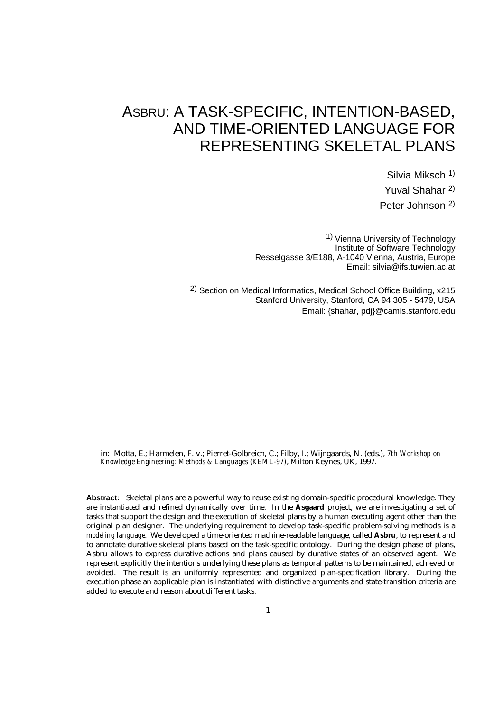# ASBRU: A TASK-SPECIFIC, INTENTION-BASED, AND TIME-ORIENTED LANGUAGE FOR REPRESENTING SKELETAL PLANS

Silvia Miksch 1) Yuval Shahar 2) Peter Johnson 2)

1) Vienna University of Technology Institute of Software Technology Resselgasse 3/E188, A-1040 Vienna, Austria, Europe Email: silvia@ifs.tuwien.ac.at

2) Section on Medical Informatics, Medical School Office Building, x215 Stanford University, Stanford, CA 94 305 - 5479, USA Email: {shahar, pdj}@camis.stanford.edu

in: Motta, E.; Harmelen, F. v.; Pierret-Golbreich, C.; Filby, I.; Wijngaards, N. (eds.), *7th Workshop on Knowledge Engineering: Methods & Languages (KEML-97)*, Milton Keynes, UK, 1997.

**Abstract:** Skeletal plans are a powerful way to reuse existing domain-specific procedural knowledge. They are instantiated and refined dynamically over time. In the **Asgaard** project, we are investigating a set of tasks that support the design and the execution of skeletal plans by a human executing agent other than the original plan designer. The underlying requirement to develop task-specific problem-solving methods is a *modeling language*. We developed a time-oriented machine-readable language, called **Asbru**, to represent and to annotate durative skeletal plans based on the task-specific ontology. During the design phase of plans, Asbru allows to express durative actions and plans caused by durative states of an observed agent. We represent explicitly the intentions underlying these plans as temporal patterns to be maintained, achieved or avoided. The result is an uniformly represented and organized plan-specification library. During the execution phase an applicable plan is instantiated with distinctive arguments and state-transition criteria are added to execute and reason about different tasks.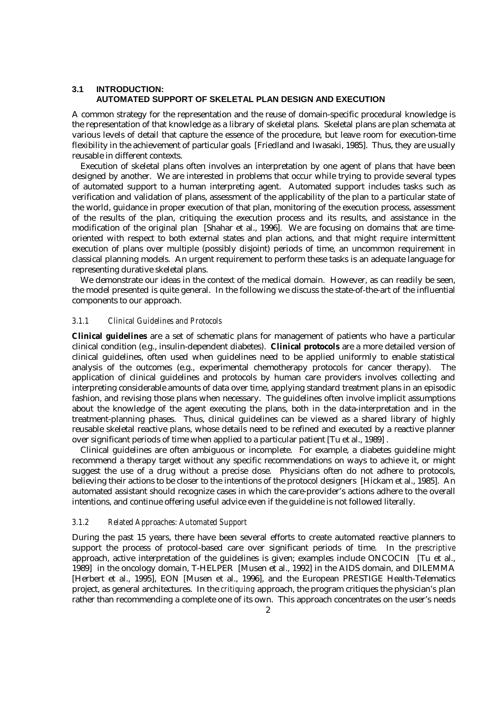## **3.1 INTRODUCTION: AUTOMATED SUPPORT OF SKELETAL PLAN DESIGN AND EXECUTION**

A common strategy for the representation and the reuse of domain-specific procedural knowledge is the representation of that knowledge as a library of skeletal plans. Skeletal plans are plan schemata at various levels of detail that capture the essence of the procedure, but leave room for execution-time flexibility in the achievement of particular goals [Friedland and Iwasaki, 1985]. Thus, they are usually reusable in different contexts.

Execution of skeletal plans often involves an interpretation by one agent of plans that have been designed by another. We are interested in problems that occur while trying to provide several types of automated support to a human interpreting agent. Automated support includes tasks such as verification and validation of plans, assessment of the applicability of the plan to a particular state of the world, guidance in proper execution of that plan, monitoring of the execution process, assessment of the results of the plan, critiquing the execution process and its results, and assistance in the modification of the original plan [Shahar et al., 1996]. We are focusing on domains that are timeoriented with respect to both external states and plan actions, and that might require intermittent execution of plans over multiple (possibly disjoint) periods of time, an uncommon requirement in classical planning models. An urgent requirement to perform these tasks is an adequate language for representing durative skeletal plans.

We demonstrate our ideas in the context of the medical domain. However, as can readily be seen, the model presented is quite general. In the following we discuss the state-of-the-art of the influential components to our approach.

#### *3.1.1 Clinical Guidelines and Protocols*

**Clinical guidelines** are a set of schematic plans for management of patients who have a particular clinical condition (e.g., insulin-dependent diabetes). **Clinical protocols** are a more detailed version of clinical guidelines, often used when guidelines need to be applied uniformly to enable statistical analysis of the outcomes (e.g., experimental chemotherapy protocols for cancer therapy). The application of clinical guidelines and protocols by human care providers involves collecting and interpreting considerable amounts of data over time, applying standard treatment plans in an episodic fashion, and revising those plans when necessary. The guidelines often involve implicit assumptions about the knowledge of the agent executing the plans, both in the data-interpretation and in the treatment-planning phases. Thus, clinical guidelines can be viewed as a shared library of highly reusable skeletal reactive plans, whose details need to be refined and executed by a reactive planner over significant periods of time when applied to a particular patient [Tu et al., 1989] .

Clinical guidelines are often ambiguous or incomplete. For example, a diabetes guideline might recommend a therapy target without any specific recommendations on ways to achieve it, or might suggest the use of a drug without a precise dose. Physicians often do not adhere to protocols, believing their actions to be closer to the intentions of the protocol designers [Hickam et al., 1985]. An automated assistant should recognize cases in which the care-provider's actions adhere to the overall intentions, and continue offering useful advice even if the guideline is not followed literally.

## *3.1.2 Related Approaches: Automated Support*

During the past 15 years, there have been several efforts to create automated reactive planners to support the process of protocol-based care over significant periods of time. In the *prescriptive* approach, active interpretation of the guidelines is given; examples include ONCOCIN [Tu et al., 1989] in the oncology domain, T-HELPER [Musen et al., 1992] in the AIDS domain, and DILEMMA [Herbert et al., 1995], EON [Musen et al., 1996], and the European PRESTIGE Health-Telematics project, as general architectures. In the *critiquing* approach, the program critiques the physician's plan rather than recommending a complete one of its own. This approach concentrates on the user's needs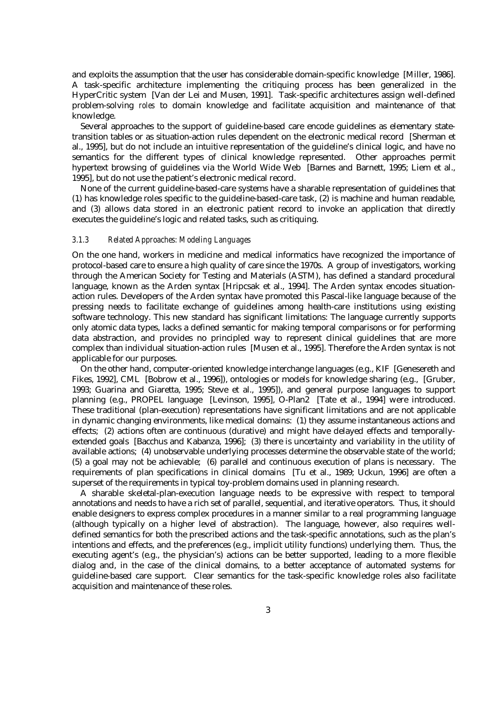and exploits the assumption that the user has considerable domain-specific knowledge [Miller, 1986]. A task-specific architecture implementing the critiquing process has been generalized in the HyperCritic system [Van der Lei and Musen, 1991]. Task-specific architectures assign well-defined problem-solving *roles* to domain knowledge and facilitate acquisition and maintenance of that knowledge.

Several approaches to the support of guideline-based care encode guidelines as elementary statetransition tables or as situation-action rules dependent on the electronic medical record [Sherman et al., 1995], but do not include an intuitive representation of the guideline's clinical logic, and have no semantics for the different types of clinical knowledge represented. Other approaches permit hypertext browsing of guidelines via the World Wide Web [Barnes and Barnett, 1995; Liem et al., 1995], but do not use the patient's electronic medical record.

None of the current guideline-based-care systems have a sharable representation of guidelines that (1) has knowledge roles specific to the guideline-based-care task, (2) is machine and human readable, and (3) allows data stored in an electronic patient record to invoke an application that directly executes the guideline's logic and related tasks, such as critiquing.

## *3.1.3 Related Approaches: Modeling Languages*

On the one hand, workers in medicine and medical informatics have recognized the importance of protocol-based care to ensure a high quality of care since the 1970s. A group of investigators, working through the American Society for Testing and Materials (ASTM), has defined a standard procedural language, known as the Arden syntax [Hripcsak et al., 1994]. The Arden syntax encodes situationaction rules. Developers of the Arden syntax have promoted this Pascal-like language because of the pressing needs to facilitate exchange of guidelines among health-care institutions using existing software technology. This new standard has significant limitations: The language currently supports only atomic data types, lacks a defined semantic for making temporal comparisons or for performing data abstraction, and provides no principled way to represent clinical guidelines that are more complex than individual situation-action rules [Musen et al., 1995]. Therefore the Arden syntax is not applicable for our purposes.

On the other hand, computer-oriented knowledge interchange languages (e.g., KIF [Genesereth and Fikes, 1992], CML [Bobrow et al., 1996]), ontologies or models for knowledge sharing (e.g., [Gruber, 1993; Guarina and Giaretta, 1995; Steve et al., 1995]), and general purpose languages to support planning (e.g., PROPEL language [Levinson, 1995], O-Plan2 [Tate et al., 1994] were introduced. These traditional (plan-execution) representations have significant limitations and are not applicable in dynamic changing environments, like medical domains: (1) they assume instantaneous actions and effects; (2) actions often are continuous (durative) and might have delayed effects and temporallyextended goals [Bacchus and Kabanza, 1996]; (3) there is uncertainty and variability in the utility of available actions; (4) unobservable underlying processes determine the observable state of the world; (5) a goal may not be achievable; (6) parallel and continuous execution of plans is necessary. The requirements of plan specifications in clinical domains [Tu et al., 1989; Uckun, 1996] are often a superset of the requirements in typical toy-problem domains used in planning research.

A sharable skeletal-plan-execution language needs to be expressive with respect to temporal annotations and needs to have a rich set of parallel, sequential, and iterative operators. Thus, it should enable designers to express complex procedures in a manner similar to a real programming language (although typically on a higher level of abstraction). The language, however, also requires welldefined semantics for both the prescribed actions and the task-specific annotations, such as the plan's intentions and effects, and the preferences (e.g., implicit utility functions) underlying them. Thus, the executing agent's (e.g., the physician's) actions can be better supported, leading to a more flexible dialog and, in the case of the clinical domains, to a better acceptance of automated systems for guideline-based care support. Clear semantics for the task-specific knowledge roles also facilitate acquisition and maintenance of these roles.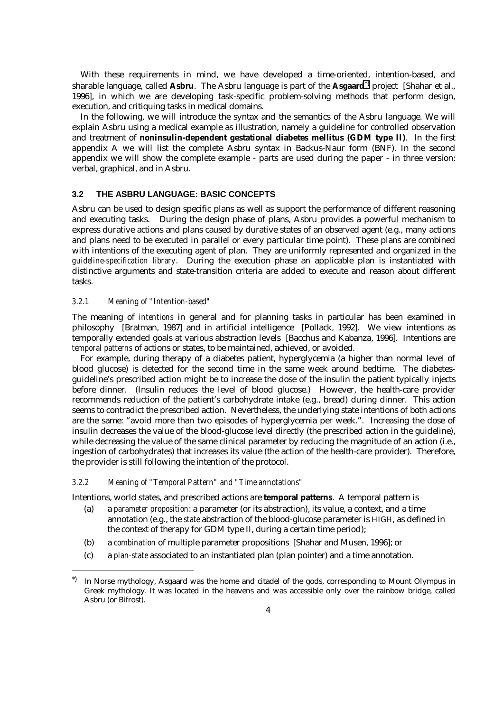With these requirements in mind, we have developed a time-oriented, intention-based, and sharable language, called **Asbru**. The Asbru language is part of the **Asgaard**\*) project [Shahar et al., 1996], in which we are developing task-specific problem-solving methods that perform design, execution, and critiquing tasks in medical domains.

In the following, we will introduce the syntax and the semantics of the Asbru language. We will explain Asbru using a medical example as illustration, namely a guideline for controlled observation and treatment of **noninsulin-dependent gestational diabetes mellitus (GDM type II)**. In the first appendix A we will list the complete Asbru syntax in Backus-Naur form (BNF). In the second appendix we will show the complete example - parts are used during the paper - in three version: verbal, graphical, and in Asbru.

### **3.2 THE ASBRU LANGUAGE: BASIC CONCEPTS**

Asbru can be used to design specific plans as well as support the performance of different reasoning and executing tasks. During the design phase of plans, Asbru provides a powerful mechanism to express durative actions and plans caused by durative states of an observed agent (e.g., many actions and plans need to be executed in parallel or every particular time point). These plans are combined with intentions of the executing agent of plan. They are uniformly represented and organized in the *guideline-specification library*. During the execution phase an applicable plan is instantiated with distinctive arguments and state-transition criteria are added to execute and reason about different tasks.

## *3.2.1 Meaning of "Intention-based"*

 $\overline{a}$ 

The meaning of *intentions* in general and for planning tasks in particular has been examined in philosophy [Bratman, 1987] and in artificial intelligence [Pollack, 1992]. We view intentions as temporally extended goals at various abstraction levels [Bacchus and Kabanza, 1996]. Intentions are *temporal patterns* of actions or states, to be maintained, achieved, or avoided.

For example, during therapy of a diabetes patient, hyperglycemia (a higher than normal level of blood glucose) is detected for the second time in the same week around bedtime. The diabetesguideline's prescribed action might be to increase the dose of the insulin the patient typically injects before dinner. (Insulin reduces the level of blood glucose.) However, the health-care provider recommends reduction of the patient's carbohydrate intake (e.g., bread) during dinner. This action seems to contradict the prescribed action. Nevertheless, the underlying state intentions of both actions are the same: "avoid more than two episodes of hyperglycemia per week.". Increasing the dose of insulin decreases the value of the blood-glucose level directly (the prescribed action in the guideline), while decreasing the value of the same clinical parameter by reducing the magnitude of an action (i.e., ingestion of carbohydrates) that increases its value (the action of the health-care provider). Therefore, the provider is still following the intention of the protocol.

#### *3.2.2 Meaning of "Temporal Pattern" and "Time annotations"*

Intentions, world states, and prescribed actions are **temporal patterns**. A temporal pattern is

- (a) a *parameter proposition*: a parameter (or its abstraction), its value, a context, and a time annotation (e.g., the *state* abstraction of the blood-glucose parameter is HIGH, as defined in the context of therapy for GDM type II, during a certain time period);
- (b) a *combination* of multiple parameter propositions [Shahar and Musen, 1996]; or
- (c) a *plan-state* associated to an instantiated plan (plan pointer) and a time annotation.

<sup>\*)</sup> In Norse mythology, Asgaard was the home and citadel of the gods, corresponding to Mount Olympus in Greek mythology. It was located in the heavens and was accessible only over the rainbow bridge, called Asbru (or Bifrost).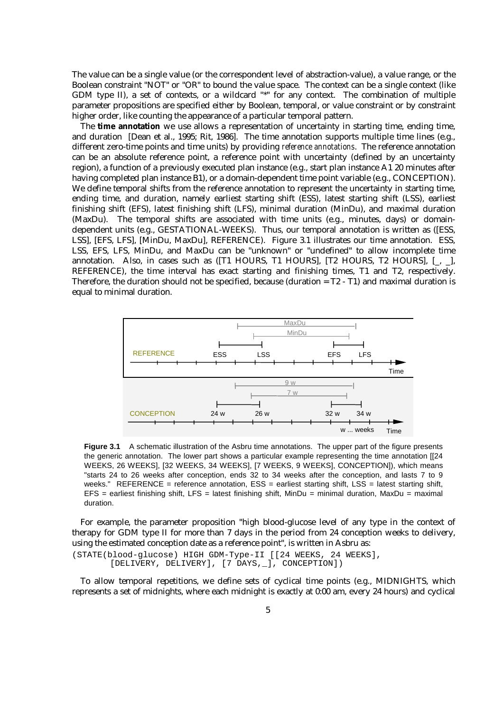The value can be a single value (or the correspondent level of abstraction-value), a value range, or the Boolean constraint "NOT" or "OR" to bound the value space. The context can be a single context (like GDM type II), a set of contexts, or a wildcard "\*" for any context. The combination of multiple parameter propositions are specified either by Boolean, temporal, or value constraint or by constraint higher order, like counting the appearance of a particular temporal pattern.

The **time annotation** we use allows a representation of uncertainty in starting time, ending time, and duration [Dean et al., 1995; Rit, 1986]. The time annotation supports multiple time lines (e.g., different zero-time points and time units) by providing *reference annotations*. The reference annotation can be an absolute reference point, a reference point with uncertainty (defined by an uncertainty region), a function of a previously executed plan instance (e.g., start plan instance A1 20 minutes after having completed plan instance B1), or a domain-dependent time point variable (e.g., CONCEPTION). We define temporal shifts from the reference annotation to represent the uncertainty in starting time, ending time, and duration, namely earliest starting shift (ESS), latest starting shift (LSS), earliest finishing shift (EFS), latest finishing shift (LFS), minimal duration (MinDu), and maximal duration (MaxDu). The temporal shifts are associated with time units (e.g., minutes, days) or domaindependent units (e.g., GESTATIONAL-WEEKS). Thus, our temporal annotation is written as ([ESS, LSS], [EFS, LFS], [MinDu, MaxDu], REFERENCE). Figure 3.1 illustrates our time annotation. ESS, LSS, EFS, LFS, MinDu, and MaxDu can be "unknown" or "undefined" to allow incomplete time annotation. Also, in cases such as ([T1 HOURS, T1 HOURS], [T2 HOURS, T2 HOURS], [\_, \_], REFERENCE), the time interval has exact starting and finishing times, T1 and T2, respectively. Therefore, the duration should not be specified, because (duration = T2 - T1) and maximal duration is equal to minimal duration.



**Figure 3.1** A schematic illustration of the Asbru time annotations. The upper part of the figure presents the generic annotation. The lower part shows a particular example representing the time annotation [[24 WEEKS, 26 WEEKS], [32 WEEKS, 34 WEEKS], [7 WEEKS, 9 WEEKS], CONCEPTION]), which means "starts 24 to 26 weeks after conception, ends 32 to 34 weeks after the conception, and lasts 7 to 9 weeks." REFERENCE = reference annotation, ESS = earliest starting shift, LSS = latest starting shift,  $EFS =$  earliest finishing shift,  $LFS =$  latest finishing shift, MinDu = minimal duration, MaxDu = maximal duration.

For example, the parameter proposition "high blood-glucose level of any type in the context of therapy for GDM type II for more than 7 days in the period from 24 conception weeks to delivery, using the estimated conception date as a reference point", is written in Asbru as:

(STATE(blood-glucose) HIGH GDM-Type-II [[24 WEEKS, 24 WEEKS], [DELIVERY, DELIVERY], [7 DAYS,\_], CONCEPTION])

To allow temporal repetitions, we define sets of cyclical time points (e.g., MIDNIGHTS, which represents a set of midnights, where each midnight is exactly at 0:00 am, every 24 hours) and cyclical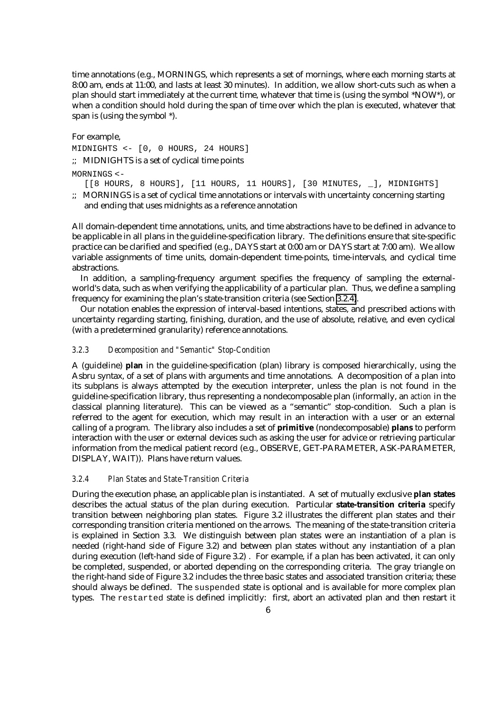time annotations (e.g., MORNINGS, which represents a set of mornings, where each morning starts at 8:00 am, ends at 11:00, and lasts at least 30 minutes). In addition, we allow short-cuts such as when a plan should start immediately at the current time, whatever that time is (using the symbol \*NOW\*), or when a condition should hold during the span of time over which the plan is executed, whatever that span is (using the symbol \*).

For example,

MIDNIGHTS <- [0, 0 HOURS, 24 HOURS]

;; MIDNIGHTS is a set of cyclical time points

## MORNINGS <-

[[8 HOURS, 8 HOURS], [11 HOURS, 11 HOURS], [30 MINUTES, \_], MIDNIGHTS]

;; MORNINGS is a set of cyclical time annotations or intervals with uncertainty concerning starting and ending that uses midnights as a reference annotation

All domain-dependent time annotations, units, and time abstractions have to be defined in advance to be applicable in all plans in the guideline-specification library. The definitions ensure that site-specific practice can be clarified and specified (e.g., DAYS start at 0:00 am or DAYS start at 7:00 am). We allow variable assignments of time units, domain-dependent time-points, time-intervals, and cyclical time abstractions.

In addition, a sampling-frequency argument specifies the frequency of sampling the externalworld's data, such as when verifying the applicability of a particular plan. Thus, we define a sampling frequency for examining the plan's state-transition criteria (see Section 3.2.4).

Our notation enables the expression of interval-based intentions, states, and prescribed actions with uncertainty regarding starting, finishing, duration, and the use of absolute, relative, and even cyclical (with a predetermined granularity) reference annotations.

## *3.2.3 Decomposition and "Semantic" Stop-Condition*

A (guideline) **plan** in the guideline-specification (plan) library is composed hierarchically, using the Asbru syntax, of a set of plans with arguments and time annotations. A decomposition of a plan into its subplans is always attempted by the execution interpreter, unless the plan is not found in the guideline-specification library, thus representing a nondecomposable plan (informally, an *action* in the classical planning literature). This can be viewed as a "semantic" stop-condition. Such a plan is referred to the agent for execution, which may result in an interaction with a user or an external calling of a program. The library also includes a set of **primitive** (nondecomposable) **plans** to perform interaction with the user or external devices such as asking the user for advice or retrieving particular information from the medical patient record (e.g., OBSERVE, GET-PARAMETER, ASK-PARAMETER, DISPLAY, WAIT)). Plans have return values.

# *3.2.4 Plan States and State-Transition Criteria*

During the execution phase, an applicable plan is instantiated. A set of mutually exclusive **plan states** describes the actual status of the plan during execution. Particular **state-transition criteria** specify transition between neighboring plan states. Figure 3.2 illustrates the different plan states and their corresponding transition criteria mentioned on the arrows. The meaning of the state-transition criteria is explained in Section 3.3. We distinguish between plan states were an instantiation of a plan is needed (right-hand side of Figure 3.2) and between plan states without any instantiation of a plan during execution (left-hand side of Figure 3.2) . For example, if a plan has been activated, it can only be completed, suspended, or aborted depending on the corresponding criteria. The gray triangle on the right-hand side of Figure 3.2 includes the three basic states and associated transition criteria; these should always be defined. The suspended state is optional and is available for more complex plan types. The restarted state is defined implicitly: first, abort an activated plan and then restart it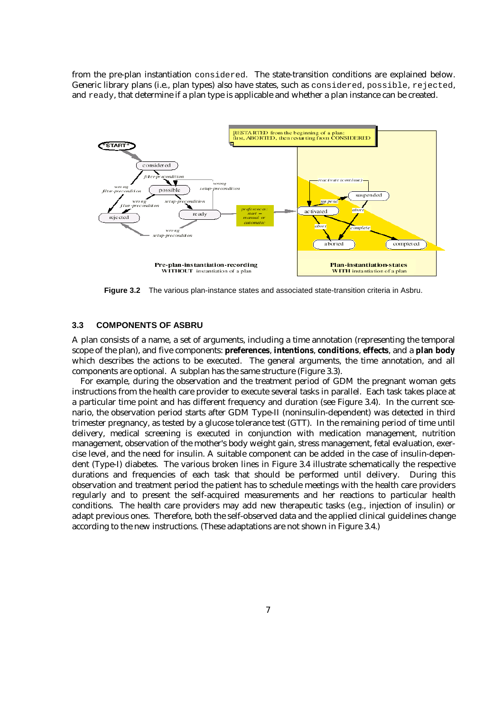from the pre-plan instantiation considered. The state-transition conditions are explained below. Generic library plans (i.e., plan types) also have states, such as considered, possible, rejected, and ready, that determine if a plan type is applicable and whether a plan instance can be created.



**Figure 3.2** The various plan-instance states and associated state-transition criteria in Asbru.

#### **3.3 COMPONENTS OF ASBRU**

A plan consists of a name, a set of arguments, including a time annotation (representing the temporal scope of the plan), and five components: **preferences**, **intentions**, **conditions**, **effects**, and a **plan body** which describes the actions to be executed. The general arguments, the time annotation, and all components are optional. A subplan has the same structure (Figure 3.3).

For example, during the observation and the treatment period of GDM the pregnant woman gets instructions from the health care provider to execute several tasks in parallel. Each task takes place at a particular time point and has different frequency and duration (see Figure 3.4). In the current scenario, the observation period starts after GDM Type-II (noninsulin-dependent) was detected in third trimester pregnancy, as tested by a glucose tolerance test (GTT). In the remaining period of time until delivery, medical screening is executed in conjunction with medication management, nutrition management, observation of the mother's body weight gain, stress management, fetal evaluation, exercise level, and the need for insulin. A suitable component can be added in the case of insulin-dependent (Type-I) diabetes. The various broken lines in Figure 3.4 illustrate schematically the respective durations and frequencies of each task that should be performed until delivery. During this observation and treatment period the patient has to schedule meetings with the health care providers regularly and to present the self-acquired measurements and her reactions to particular health conditions. The health care providers may add new therapeutic tasks (e.g., injection of insulin) or adapt previous ones. Therefore, both the self-observed data and the applied clinical guidelines change according to the new instructions. (These adaptations are not shown in Figure 3.4.)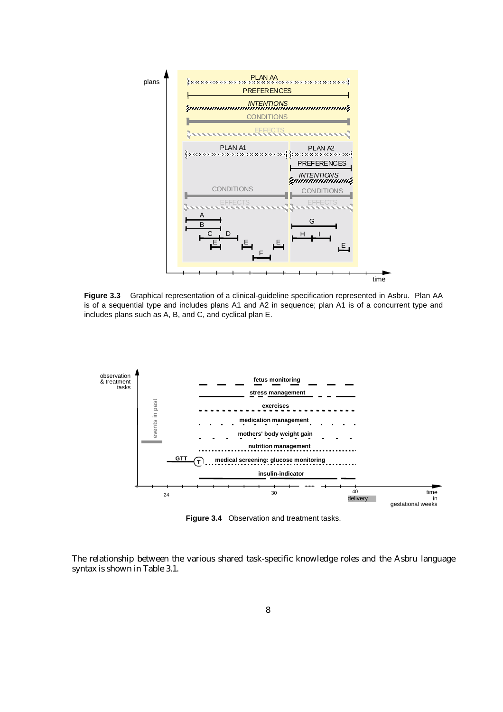

**Figure 3.3** Graphical representation of a clinical-guideline specification represented in Asbru. Plan AA is of a sequential type and includes plans A1 and A2 in sequence; plan A1 is of a concurrent type and includes plans such as A, B, and C, and cyclical plan E.



**Figure 3.4** Observation and treatment tasks.

The relationship between the various shared task-specific knowledge roles and the Asbru language syntax is shown in Table 3.1.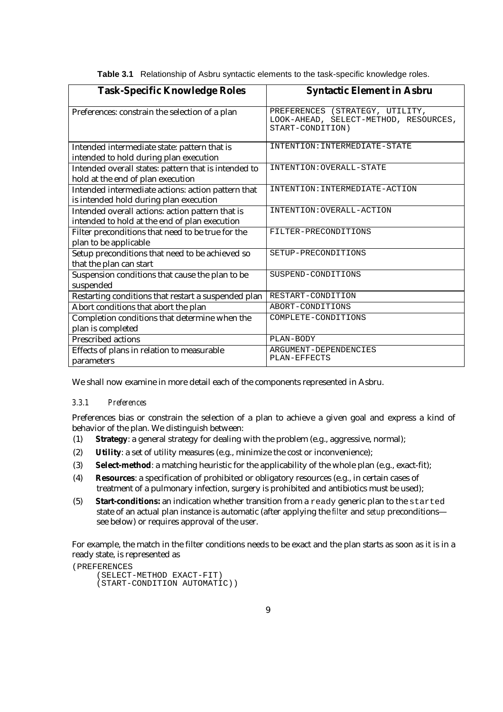| <b>Task-Specific Knowledge Roles</b>                                                              | <b>Syntactic Element in Asbru</b>                                                            |
|---------------------------------------------------------------------------------------------------|----------------------------------------------------------------------------------------------|
| Preferences: constrain the selection of a plan                                                    | PREFERENCES (STRATEGY, UTILITY,<br>LOOK-AHEAD, SELECT-METHOD, RESOURCES,<br>START-CONDITION) |
| Intended intermediate state: pattern that is<br>intended to hold during plan execution            | INTENTION: INTERMEDIATE-STATE                                                                |
| Intended overall states: pattern that is intended to<br>hold at the end of plan execution         | INTENTION: OVERALL-STATE                                                                     |
| Intended intermediate actions: action pattern that<br>is intended hold during plan execution      | INTENTION: INTERMEDIATE-ACTION                                                               |
| Intended overall actions: action pattern that is<br>intended to hold at the end of plan execution | INTENTION: OVERALL-ACTION                                                                    |
| Filter preconditions that need to be true for the<br>plan to be applicable                        | FILTER-PRECONDITIONS                                                                         |
| Setup preconditions that need to be achieved so<br>that the plan can start                        | SETUP-PRECONDITIONS                                                                          |
| Suspension conditions that cause the plan to be<br>suspended                                      | SUSPEND-CONDITIONS                                                                           |
| Restarting conditions that restart a suspended plan                                               | RESTART-CONDITION                                                                            |
| Abort conditions that abort the plan                                                              | ABORT-CONDITIONS                                                                             |
| Completion conditions that determine when the<br>plan is completed                                | COMPLETE-CONDITIONS                                                                          |
| Prescribed actions                                                                                | PLAN-BODY                                                                                    |
| Effects of plans in relation to measurable<br>parameters                                          | ARGUMENT-DEPENDENCIES<br>PLAN-EFFECTS                                                        |

**Table 3.1** Relationship of Asbru syntactic elements to the task-specific knowledge roles.

We shall now examine in more detail each of the components represented in Asbru.

## *3.3.1 Preferences*

Preferences bias or constrain the selection of a plan to achieve a given goal and express a kind of behavior of the plan. We distinguish between:

- (1) **Strategy**: a general strategy for dealing with the problem (e.g., aggressive, normal);
- (2) **Utility**: a set of utility measures (e.g., minimize the cost or inconvenience);
- (3) **Select-method**: a matching heuristic for the applicability of the whole plan (e.g., exact-fit);
- (4) **Resources**: a specification of prohibited or obligatory resources (e.g., in certain cases of treatment of a pulmonary infection, surgery is prohibited and antibiotics must be used);
- (5) **Start-conditions:** an indication whether transition from a ready generic plan to the started state of an actual plan instance is automatic (after applying the *filter* and *setup* preconditions see below) or requires approval of the user.

For example, the match in the filter conditions needs to be exact and the plan starts as soon as it is in a ready state, is represented as

```
(PREFERENCES
    (SELECT-METHOD EXACT-FIT)
    (START-CONDITION AUTOMATIC))
```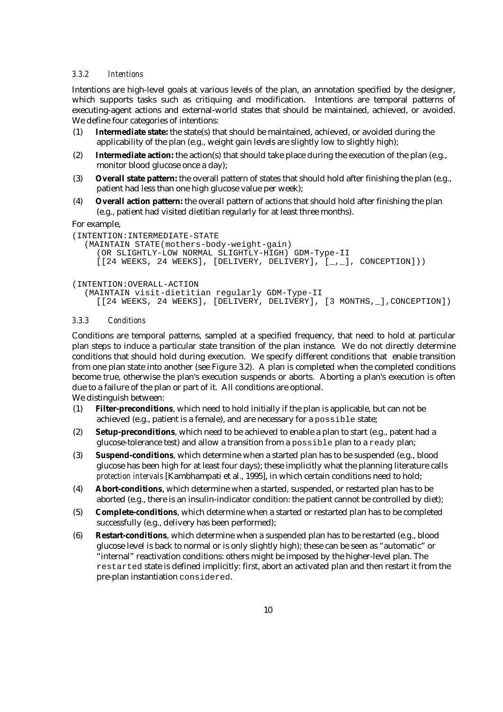#### *3.3.2 Intentions*

Intentions are high-level goals at various levels of the plan, an annotation specified by the designer, which supports tasks such as critiquing and modification. Intentions are temporal patterns of executing-agent actions and external-world states that should be maintained, achieved, or avoided. We define four categories of intentions:

- (1) **Intermediate state:** the state(s) that should be maintained, achieved, or avoided during the applicability of the plan (e.g., weight gain levels are slightly low to slightly high);
- (2) **Intermediate action:** the action(s) that should take place during the execution of the plan (e.g., monitor blood glucose once a day);
- (3) **Overall state pattern:** the overall pattern of states that should hold after finishing the plan (e.g., patient had less than one high glucose value per week);
- (4) **Overall action pattern:** the overall pattern of actions that should hold after finishing the plan (e.g., patient had visited dietitian regularly for at least three months).

For example,

```
(INTENTION:INTERMEDIATE-STATE
  (MAINTAIN STATE(mothers-body-weight-gain)
     (OR SLIGHTLY-LOW NORMAL SLIGHTLY-HIGH) GDM-Type-II
     [24 \text{ WEEKS}, 24 \text{ WEEKS}], [DELIVERY, DELIVERY],, [, ], CONCEPTION]))
(INTENTION:OVERALL-ACTION
```

```
(MAINTAIN visit-dietitian regularly GDM-Type-II
  [[24 WEEKS, 24 WEEKS], [DELIVERY, DELIVERY], [3 MONTHS, _], CONCEPTION])
```
#### *3.3.3 Conditions*

Conditions are temporal patterns, sampled at a specified frequency, that need to hold at particular plan steps to induce a particular state transition of the plan instance. We do not directly determine conditions that should hold during execution. We specify different conditions that enable transition from one plan state into another (see Figure 3.2). A plan is completed when the completed conditions become true, otherwise the plan's execution suspends or aborts. Aborting a plan's execution is often due to a failure of the plan or part of it. All conditions are optional. We distinguish between:

(1) **Filter-preconditions**, which need to hold initially if the plan is applicable, but can not be achieved (e.g., patient is a female), and are necessary for a possible state;

- (2) **Setup-preconditions**, which need to be achieved to enable a plan to start (e.g., patent had a glucose-tolerance test) and allow a transition from a possible plan to a ready plan;
- (3) **Suspend-conditions**, which determine when a started plan has to be suspended (e.g., blood glucose has been high for at least four days); these implicitly what the planning literature calls *protection intervals* [Kambhampati et al., 1995], in which certain conditions need to hold;
- (4) **Abort-conditions**, which determine when a started, suspended, or restarted plan has to be aborted (e.g., there is an insulin-indicator condition: the patient cannot be controlled by diet);
- (5) **Complete-conditions**, which determine when a started or restarted plan has to be completed successfully (e.g., delivery has been performed);
- (6) **Restart-conditions**, which determine when a suspended plan has to be restarted (e.g., blood glucose level is back to normal or is only slightly high); these can be seen as "automatic" or "internal" reactivation conditions: others might be imposed by the higher-level plan. The restarted state is defined implicitly: first, abort an activated plan and then restart it from the pre-plan instantiation considered.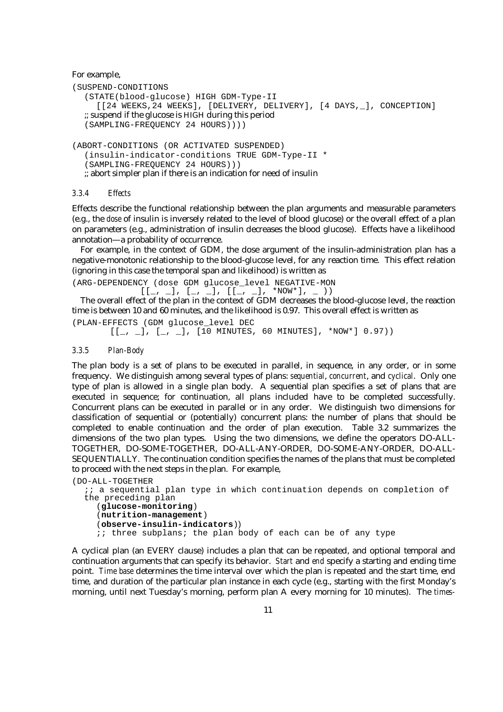For example,

```
(SUSPEND-CONDITIONS
  (STATE(blood-glucose) HIGH GDM-Type-II
     [[24 WEEKS, 24 WEEKS], [DELIVERY, DELIVERY], [4 DAYS, _], CONCEPTION]
  ;; suspend if the glucose is HIGH during this period
  (SAMPLING-FREQUENCY 24 HOURS))))
(ABORT-CONDITIONS (OR ACTIVATED SUSPENDED)
  (insulin-indicator-conditions TRUE GDM-Type-II *
  (SAMPLING-FREQUENCY 24 HOURS)))
```
;; abort simpler plan if there is an indication for need of insulin

#### *3.3.4 Effects*

Effects describe the functional relationship between the plan arguments and measurable parameters (e.g., the *dose* of insulin is inversely related to the level of blood glucose) or the overall effect of a plan on parameters (e.g., administration of insulin decreases the blood glucose). Effects have a likelihood annotation—a probability of occurrence.

For example, in the context of GDM, the dose argument of the insulin-administration plan has a negative-monotonic relationship to the blood-glucose level, for any reaction time. This effect relation (ignoring in this case the temporal span and likelihood) is written as

(ARG-DEPENDENCY (dose GDM glucose\_level NEGATIVE-MON  $[[-, -], [-, -], [[-, -], * Now *], -)$ 

The overall effect of the plan in the context of GDM decreases the blood-glucose level, the reaction time is between 10 and 60 minutes, and the likelihood is 0.97. This overall effect is written as (PLAN-EFFECTS (GDM glucose\_level DEC

```
[[-, -], [-, -], [10 \text{ MINURES}, 60 \text{ MINURES}], * Now*] 0.97)
```
## *3.3.5 Plan-Body*

The plan body is a set of plans to be executed in parallel, in sequence, in any order, or in some frequency. We distinguish among several types of plans: *sequential*, *concurrent*, and *cyclical*. Only one type of plan is allowed in a single plan body. A sequential plan specifies a set of plans that are executed in sequence; for continuation, all plans included have to be completed successfully. Concurrent plans can be executed in parallel or in any order. We distinguish two dimensions for classification of sequential or (potentially) concurrent plans: the number of plans that should be completed to enable continuation and the order of plan execution. Table 3.2 summarizes the dimensions of the two plan types. Using the two dimensions, we define the operators DO-ALL-TOGETHER, DO-SOME-TOGETHER, DO-ALL-ANY-ORDER, DO-SOME-ANY-ORDER, DO-ALL-SEQUENTIALLY. The continuation condition specifies the names of the plans that must be completed to proceed with the next steps in the plan. For example,

```
(DO-ALL-TOGETHER
  i a sequential plan type in which continuation depends on completion of
  the preceding plan
    (glucose-monitoring)
    (nutrition-management)
    (observe-insulin-indicators))
    i; three subplans; the plan body of each can be of any type
```
A cyclical plan (an EVERY clause) includes a plan that can be repeated, and optional temporal and continuation arguments that can specify its behavior. *Start* and *end* specify a starting and ending time point. *Time base* determines the time interval over which the plan is repeated and the start time, end time, and duration of the particular plan instance in each cycle (e.g., starting with the first Monday's morning, until next Tuesday's morning, perform plan A every morning for 10 minutes). The *times-*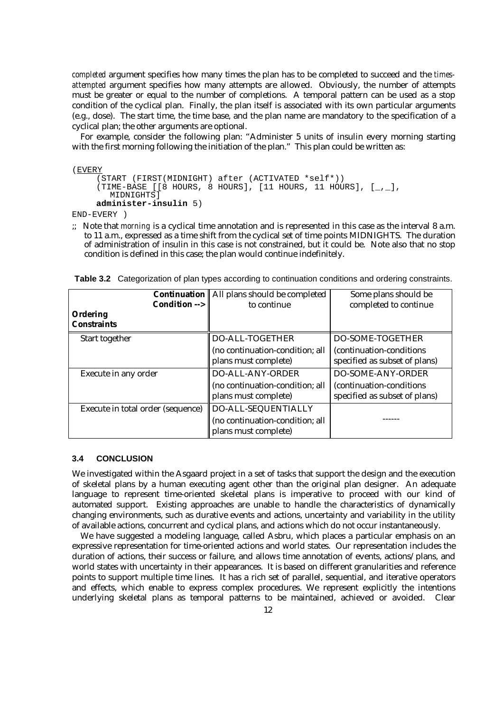*completed* argument specifies how many times the plan has to be completed to succeed and the *timesattempted* argument specifies how many attempts are allowed. Obviously, the number of attempts must be greater or equal to the number of completions. A temporal pattern can be used as a stop condition of the cyclical plan. Finally, the plan itself is associated with its own particular arguments (e.g., dose). The start time, the time base, and the plan name are mandatory to the specification of a cyclical plan; the other arguments are optional.

For example, consider the following plan: "Administer 5 units of insulin every morning starting with the first morning following the initiation of the plan." This plan could be written as:

(EVERY

```
(START (FIRST(MIDNIGHT) after (ACTIVATED *self*))
(TIME-BASE [8 \text{ HOURS}, 8 \text{ HOURS}], [11 \text{ HOURS}, 11 \text{ HOURS}], [2, 1]MIDNIGHTS<sup>1</sup>
administer-insulin 5)
```
END-EVERY )

;; Note that *morning* is a cyclical time annotation and is represented in this case as the interval 8 a.m. to 11 a.m., expressed as a time shift from the cyclical set of time points MIDNIGHTS. The duration of administration of insulin in this case is not constrained, but it could be. Note also that no stop condition is defined in this case; the plan would continue indefinitely.

|                                   | <b>Continuation</b>    All plans should be completed    | Some plans should be                                       |
|-----------------------------------|---------------------------------------------------------|------------------------------------------------------------|
| Condition $\rightarrow$           | to continue                                             | completed to continue                                      |
| Ordering                          |                                                         |                                                            |
| <b>Constraints</b>                |                                                         |                                                            |
| Start together                    | DO-ALL-TOGETHER                                         | DO-SOME-TOGETHER                                           |
|                                   | (no continuation-condition; all<br>plans must complete) | (continuation-conditions)<br>specified as subset of plans) |
| Execute in any order              | <b>DO-ALL-ANY-ORDER</b>                                 | <b>DO-SOME-ANY-ORDER</b>                                   |
|                                   | (no continuation-condition; all<br>plans must complete) | (continuation-conditions)<br>specified as subset of plans) |
| Execute in total order (sequence) | DO-ALL-SEQUENTIALLY                                     |                                                            |
|                                   | (no continuation-condition; all<br>plans must complete) |                                                            |

**Table 3.2** Categorization of plan types according to continuation conditions and ordering constraints.

## **3.4 CONCLUSION**

We investigated within the Asgaard project in a set of tasks that support the design and the execution of skeletal plans by a human executing agent other than the original plan designer. An adequate language to represent time-oriented skeletal plans is imperative to proceed with our kind of automated support. Existing approaches are unable to handle the characteristics of dynamically changing environments, such as durative events and actions, uncertainty and variability in the utility of available actions, concurrent and cyclical plans, and actions which do not occur instantaneously.

We have suggested a modeling language, called Asbru, which places a particular emphasis on an expressive representation for time-oriented actions and world states. Our representation includes the duration of actions, their success or failure, and allows time annotation of events, actions/plans, and world states with uncertainty in their appearances. It is based on different granularities and reference points to support multiple time lines. It has a rich set of parallel, sequential, and iterative operators and effects, which enable to express complex procedures. We represent explicitly the intentions underlying skeletal plans as temporal patterns to be maintained, achieved or avoided. Clear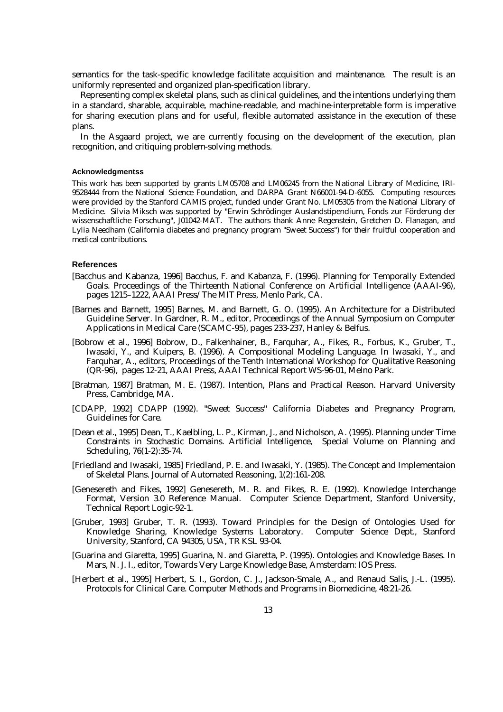semantics for the task-specific knowledge facilitate acquisition and maintenance. The result is an uniformly represented and organized plan-specification library.

Representing complex skeletal plans, such as clinical guidelines, and the intentions underlying them in a standard, sharable, acquirable, machine-readable, and machine-interpretable form is imperative for sharing execution plans and for useful, flexible automated assistance in the execution of these plans.

In the Asgaard project, we are currently focusing on the development of the execution, plan recognition, and critiquing problem-solving methods.

#### **Acknowledgmentss**

This work has been supported by grants LM05708 and LM06245 from the National Library of Medicine, IRI-9528444 from the National Science Foundation, and DARPA Grant N66001-94-D-6055. Computing resources were provided by the Stanford CAMIS project, funded under Grant No. LM05305 from the National Library of Medicine. Silvia Miksch was supported by "Erwin Schrödinger Auslandstipendium, Fonds zur Förderung der wissenschaftliche Forschung", J01042-MAT. The authors thank Anne Regenstein, Gretchen D. Flanagan, and Lylia Needham (California diabetes and pregnancy program "Sweet Success") for their fruitful cooperation and medical contributions.

#### **References**

- [Bacchus and Kabanza, 1996] Bacchus, F. and Kabanza, F. (1996). Planning for Temporally Extended Goals. Proceedings of the Thirteenth National Conference on Artificial Intelligence (AAAI-96), pages 1215–1222, AAAI Press/The MIT Press, Menlo Park, CA.
- [Barnes and Barnett, 1995] Barnes, M. and Barnett, G. O. (1995). An Architecture for a Distributed Guideline Server. In Gardner, R. M., editor, Proceedings of the Annual Symposium on Computer Applications in Medical Care (SCAMC-95), pages 233-237, Hanley & Belfus.
- [Bobrow et al., 1996] Bobrow, D., Falkenhainer, B., Farquhar, A., Fikes, R., Forbus, K., Gruber, T., Iwasaki, Y., and Kuipers, B. (1996). A Compositional Modeling Language. In Iwasaki, Y., and Farquhar, A., editors, Proceedings of the Tenth International Workshop for Qualitative Reasoning (QR-96), pages 12-21, AAAI Press, AAAI Technical Report WS-96-01, Melno Park.
- [Bratman, 1987] Bratman, M. E. (1987). Intention, Plans and Practical Reason. Harvard University Press, Cambridge, MA.
- [CDAPP, 1992] CDAPP (1992). "Sweet Success" California Diabetes and Pregnancy Program, Guidelines for Care.
- [Dean et al., 1995] Dean, T., Kaelbling, L. P., Kirman, J., and Nicholson, A. (1995). Planning under Time Constraints in Stochastic Domains. Artificial Intelligence, Special Volume on Planning and Scheduling, 76(1-2):35-74.
- [Friedland and Iwasaki, 1985] Friedland, P. E. and Iwasaki, Y. (1985). The Concept and Implementaion of Skeletal Plans. Journal of Automated Reasoning, 1(2):161-208.
- [Genesereth and Fikes, 1992] Genesereth, M. R. and Fikes, R. E. (1992). Knowledge Interchange Format, Version 3.0 Reference Manual. Computer Science Department, Stanford University, Technical Report Logic-92-1.
- [Gruber, 1993] Gruber, T. R. (1993). Toward Principles for the Design of Ontologies Used for Knowledge Sharing, Knowledge Systems Laboratory. Computer Science Dept., Stanford University, Stanford, CA 94305, USA, TR KSL 93-04.
- [Guarina and Giaretta, 1995] Guarina, N. and Giaretta, P. (1995). Ontologies and Knowledge Bases. In Mars, N. J. I., editor, Towards Very Large Knowledge Base, Amsterdam: IOS Press.
- [Herbert et al., 1995] Herbert, S. I., Gordon, C. J., Jackson-Smale, A., and Renaud Salis, J.-L. (1995). Protocols for Clinical Care. Computer Methods and Programs in Biomedicine, 48:21-26.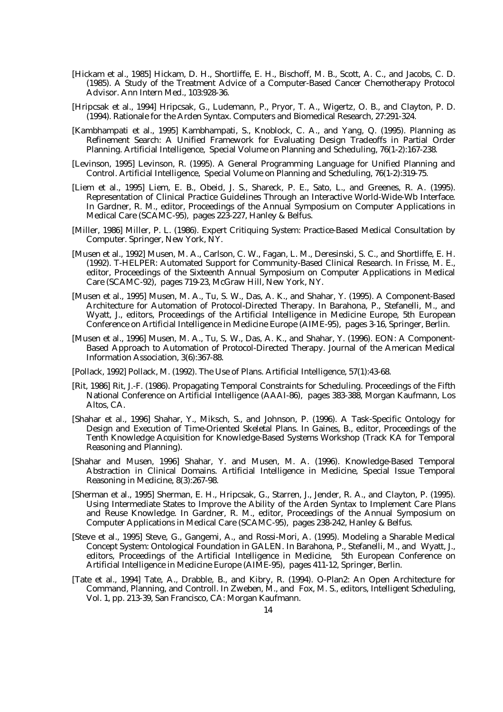- [Hickam et al., 1985] Hickam, D. H., Shortliffe, E. H., Bischoff, M. B., Scott, A. C., and Jacobs, C. D. (1985). A Study of the Treatment Advice of a Computer-Based Cancer Chemotherapy Protocol Advisor. Ann Intern Med., 103:928-36.
- [Hripcsak et al., 1994] Hripcsak, G., Ludemann, P., Pryor, T. A., Wigertz, O. B., and Clayton, P. D. (1994). Rationale for the Arden Syntax. Computers and Biomedical Research, 27:291-324.
- [Kambhampati et al., 1995] Kambhampati, S., Knoblock, C. A., and Yang, Q. (1995). Planning as Refinement Search: A Unified Framework for Evaluating Design Tradeoffs in Partial Order Planning. Artificial Intelligence, Special Volume on Planning and Scheduling, 76(1-2):167-238.
- [Levinson, 1995] Levinson, R. (1995). A General Programming Language for Unified Planning and Control. Artificial Intelligence, Special Volume on Planning and Scheduling, 76(1-2):319-75.
- [Liem et al., 1995] Liem, E. B., Obeid, J. S., Shareck, P. E., Sato, L., and Greenes, R. A. (1995). Representation of Clinical Practice Guidelines Through an Interactive World-Wide-Wb Interface. In Gardner, R. M., editor, Proceedings of the Annual Symposium on Computer Applications in Medical Care (SCAMC-95), pages 223-227, Hanley & Belfus.
- [Miller, 1986] Miller, P. L. (1986). Expert Critiquing System: Practice-Based Medical Consultation by Computer. Springer, New York, NY.
- [Musen et al., 1992] Musen, M. A., Carlson, C. W., Fagan, L. M., Deresinski, S. C., and Shortliffe, E. H. (1992). T-HELPER: Automated Support for Community-Based Clinical Research. In Frisse, M. E., editor, Proceedings of the Sixteenth Annual Symposium on Computer Applications in Medical Care (SCAMC-92), pages 719-23, McGraw Hill, New York, NY.
- [Musen et al., 1995] Musen, M. A., Tu, S. W., Das, A. K., and Shahar, Y. (1995). A Component-Based Architecture for Automation of Protocol-Directed Therapy. In Barahona, P., Stefanelli, M., and Wyatt, J., editors, Proceedings of the Artificial Intelligence in Medicine Europe, 5th European Conference on Artificial Intelligence in Medicine Europe (AIME-95), pages 3-16, Springer, Berlin.
- [Musen et al., 1996] Musen, M. A., Tu, S. W., Das, A. K., and Shahar, Y. (1996). EON: A Component-Based Approach to Automation of Protocol-Directed Therapy. Journal of the American Medical Information Association, 3(6):367-88.
- [Pollack, 1992] Pollack, M. (1992). The Use of Plans. Artificial Intelligence, 57(1):43-68.
- [Rit, 1986] Rit, J.-F. (1986). Propagating Temporal Constraints for Scheduling. Proceedings of the Fifth National Conference on Artificial Intelligence (AAAI-86), pages 383-388, Morgan Kaufmann, Los Altos, CA.
- [Shahar et al., 1996] Shahar, Y., Miksch, S., and Johnson, P. (1996). A Task-Specific Ontology for Design and Execution of Time-Oriented Skeletal Plans. In Gaines, B., editor, Proceedings of the Tenth Knowledge Acquisition for Knowledge-Based Systems Workshop (Track KA for Temporal Reasoning and Planning).
- [Shahar and Musen, 1996] Shahar, Y. and Musen, M. A. (1996). Knowledge-Based Temporal Abstraction in Clinical Domains. Artificial Intelligence in Medicine, Special Issue Temporal Reasoning in Medicine, 8(3):267-98.
- [Sherman et al., 1995] Sherman, E. H., Hripcsak, G., Starren, J., Jender, R. A., and Clayton, P. (1995). Using Intermediate States to Improve the Ability of the Arden Syntax to Implement Care Plans and Reuse Knowledge. In Gardner, R. M., editor, Proceedings of the Annual Symposium on Computer Applications in Medical Care (SCAMC-95), pages 238-242, Hanley & Belfus.
- [Steve et al., 1995] Steve, G., Gangemi, A., and Rossi-Mori, A. (1995). Modeling a Sharable Medical Concept System: Ontological Foundation in GALEN. In Barahona, P., Stefanelli, M., and Wyatt, J., editors, Proceedings of the Artificial Intelligence in Medicine, 5th European Conference on Artificial Intelligence in Medicine Europe (AIME-95), pages 411-12, Springer, Berlin.
- [Tate et al., 1994] Tate, A., Drabble, B., and Kibry, R. (1994). O-Plan2: An Open Architecture for Command, Planning, and Controll. In Zweben, M., and Fox, M. S., editors, Intelligent Scheduling, Vol. 1, pp. 213-39, San Francisco, CA: Morgan Kaufmann.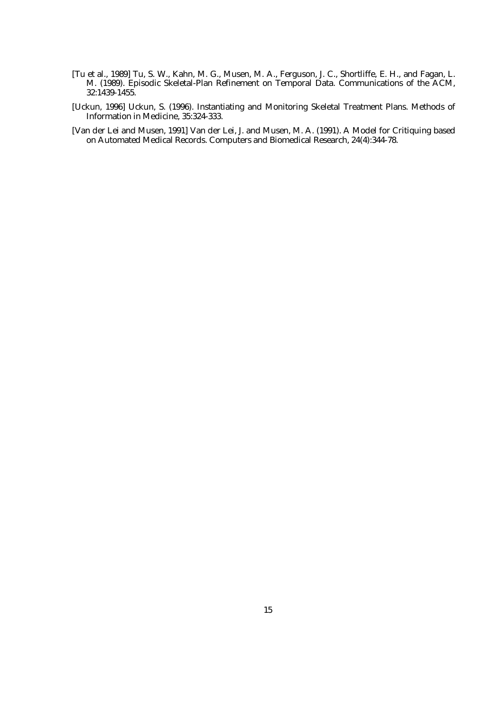- [Tu et al., 1989] Tu, S. W., Kahn, M. G., Musen, M. A., Ferguson, J. C., Shortliffe, E. H., and Fagan, L. M. (1989). Episodic Skeletal-Plan Refinement on Temporal Data. Communications of the ACM, 32:1439-1455.
- [Uckun, 1996] Uckun, S. (1996). Instantiating and Monitoring Skeletal Treatment Plans. Methods of Information in Medicine, 35:324-333.
- [Van der Lei and Musen, 1991] Van der Lei, J. and Musen, M. A. (1991). A Model for Critiquing based on Automated Medical Records. Computers and Biomedical Research, 24(4):344-78.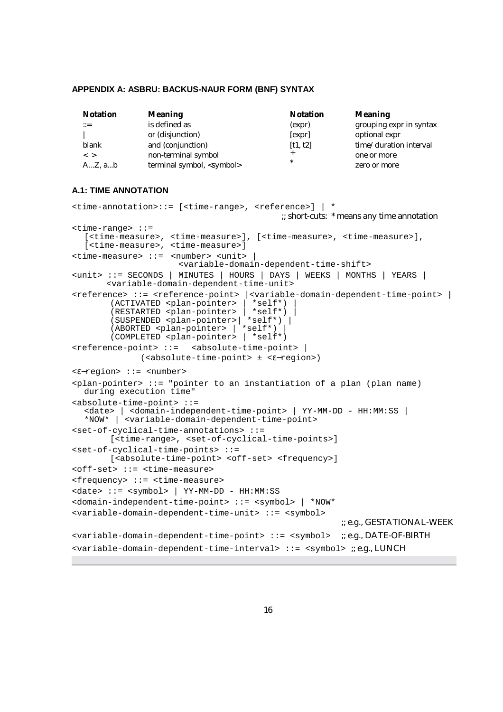#### **APPENDIX A: ASBRU: BACKUS-NAUR FORM (BNF) SYNTAX**

| <b>Notation</b>           | <b>Meaning</b>                     | <b>Notation</b> | Meaning                 |
|---------------------------|------------------------------------|-----------------|-------------------------|
| $\mathbb{C} = \mathbb{C}$ | is defined as                      | (expr)          | grouping expr in syntax |
|                           | or (disjunction)                   | [expr]          | optional expr           |
| blank                     | and (conjunction)                  | [t1, t2]        | time/duration interval  |
| $\langle$ $>$             | non-terminal symbol                |                 | one or more             |
| $AZ$ , $ab$               | terminal symbol, <symbol></symbol> | $\ast$          | zero or more            |

## **A.1: TIME ANNOTATION**

```
<time-annotation>::= [<time-range>, <reference>] | * 
                                           ;; short-cuts: * means any time annotation
<time-range> ::=
  [<time-measure>, <time-measure>], [<time-measure>, <time-measure>],
  [<time-measure>, <time-measure>]
<time-measure> ::= <number> <unit> |
                     <variable-domain-dependent-time-shift>
<unit> ::= SECONDS | MINUTES | HOURS | DAYS | WEEKS | MONTHS | YEARS |
       <variable-domain-dependent-time-unit>
<reference> ::= <reference-point> |<variable-domain-dependent-time-point> |
       (ACTIVATED <plan-pointer> | *self*) |
       (RESTARTED <plan-pointer> | *self*) |
       (SUSPENDED <plan-pointer>| *self*) |
       (ABORTED <plan-pointer> | *self*) |
       (COMPLETED <plan-pointer> | *self*)
<reference-point> ::= <absolute-time-point> |
             (<absolute-time-point> ± <ε−region>)
<ε−region> ::= <number>
<plan-pointer> ::= "pointer to an instantiation of a plan (plan name)
  during execution time"
<absolute-time-point> ::=
  <date> | <domain-independent-time-point> | YY-MM-DD - HH:MM:SS |
  *NOW* | <variable-domain-dependent-time-point>
<set-of-cyclical-time-annotations> ::=
       [<time-range>, <set-of-cyclical-time-points>]
<set-of-cyclical-time-points> ::=
       [<absolute-time-point> <off-set> <frequency>]
<off-set> ::= <time-measure>
<frequency> ::= <time-measure>
<date> ::= <symbol> | YY-MM-DD - HH:MM:SS
<domain-independent-time-point> ::= <symbol> | *NOW*
<variable-domain-dependent-time-unit> ::= <symbol>
                                                      ;; e.g., GESTATIONAL-WEEK
<variable-domain-dependent-time-point> ::= <symbol> ;; e.g., DATE-OF-BIRTH
<variable-domain-dependent-time-interval> ::= <symbol> ;; e.g., LUNCH
```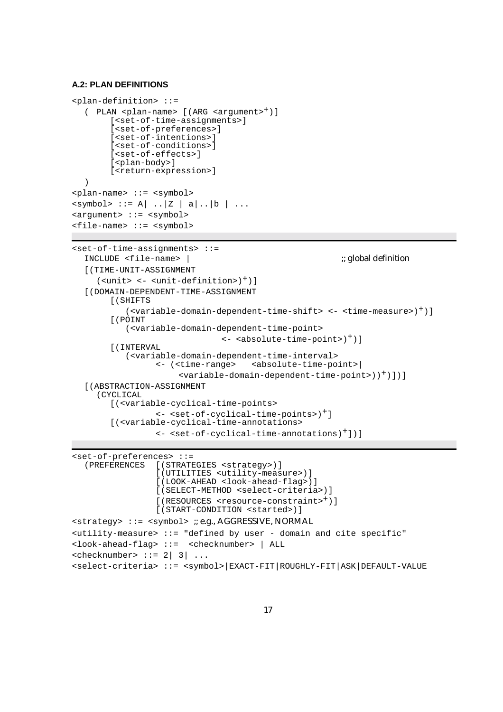## **A.2: PLAN DEFINITIONS**

```
<plan-definition> ::=
  ( PLAN <plan-name> [(ARG <argument>+)]
        [<set-of-time-assignments>]
        [<set-of-preferences>]
        [<set-of-intentions>]
        [<set-of-conditions>]
        [<set-of-effects>]
        [<plan-body>]
        [<return-expression>]
  )
<plan-name> ::= <symbol>
\langle \text{symbol} \rangle : := A \vert . . \vert Z \vert a \vert . . \vert b \vert . . .<argument> ::= <symbol>
<file-name> ::= <symbol>
<set-of-time-assignments> ::=
  INCLUDE <file-name> | ;; global definition \therefore; global definition
  [(TIME-UNIT-ASSIGNMENT
     (\text{units} < - \text{cunit-definition})^+)]
  [(DOMAIN-DEPENDENT-TIME-ASSIGNMENT
        [(SHIFTS
           (<variable-domain-dependent-time-shift> <- <time-measure>)+)]
        [(POINT
           (<variable-domain-dependent-time-point>
                                 \leftarrow <absolute-time-point>)<sup>+</sup>)]
        [(INTERVAL
           (<variable-domain-dependent-time-interval>
                  <- (<time-range> <absolute-time-point>|
                       <variable-domain-dependent-time-point>))+)])]
  [(ABSTRACTION-ASSIGNMENT
     (CYCLICAL
        [(<variable-cyclical-time-points>
                  <- <set-of-cyclical-time-points>)+]
        [(<variable-cyclical-time-annotations>
                  <- <set-of-cyclical-time-annotations)+])]
```

```
<set-of-preferences> ::=
                 [(STRATEGIES <strategy>)]
                 [(UTILITIES <utility-measure>)]
                 [(LOOK-AHEAD <look-ahead-flag>)]
                 [(SELECT-METHOD <select-criteria>)]
                 [(RESOURCES <resource-constraint>+)]
                 [(START-CONDITION <started>)]
<strategy> ::= <symbol> ;; e.g., AGGRESSIVE, NORMAL
cutility-measure ::= "defined by user - domain and cite specific"
<look-ahead-flag> ::= <checknumber> | ALL
\text{<} checknumber> ::= 2 | 3 | ...<select-criteria> ::= <symbol>|EXACT-FIT|ROUGHLY-FIT|ASK|DEFAULT-VALUE
```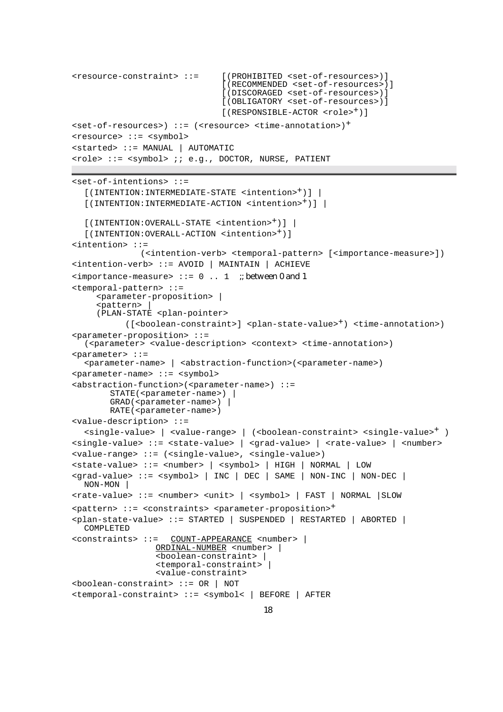```
<resource-constraint> ::= [(PROHIBITED <set-of-resources>)]
                              [(RECOMMENDED <set-of-resources>)]
                              [(DISCORAGED <set-of-resources>)]
                              [(OBLIGATORY <set-of-resources>)]
                              [(RESPONSIBLE-ACTOR <role><sup>+</sup>)]
<set-of-resources>) ::= (<resource> <time-annotation>)+
<resource> ::= <symbol>
<started> ::= MANUAL | AUTOMATIC
<role> ::= <symbol> ;; e.g., DOCTOR, NURSE, PATIENT
<set-of-intentions> ::=
  [(INTENTION:INTERMEDIATE-STATE <intention>+)] |
  [(INTENTION:INTERMEDIATE-ACTION <intention>+)] |
  [(INTENTION:OVERALL-STATE <intention>+)] |
  [(INTENTION:OVERALL-ACTION <intention>+)]
<intention> ::=
             (<intention-verb> <temporal-pattern> [<importance-measure>])
<intention-verb> ::= AVOID | MAINTAIN | ACHIEVE
\langleimportance-measure> ::= 0 .. 1 ;; between 0 and 1
<temporal-pattern> ::=
    <parameter-proposition> |
    <pattern>
    (PLAN-STATE <plan-pointer>
          ([<boolean-constraint>] <plan-state-value>+) <time-annotation>)
<parameter-proposition> ::=
  (<parameter> <value-description> <context> <time-annotation>)
<parameter> ::=
  <parameter-name> | <abstraction-function>(<parameter-name>)
<parameter-name> ::= <symbol>
<abstraction-function>(<parameter-name>) ::=
       STATE(<parameter - name) |
       GRAD(<i>parameter-name</i>) |
       RATE(<parameter-name>)
<value-description> ::=
  <single-value> | <value-range> | (<boolean-constraint> <single-value>+ )
<single-value> ::= <state-value> | <grad-value> | <rate-value> | <number>
<value-range> ::= (<single-value>, <single-value>)
<state-value> ::= <number> | <symbol> | HIGH | NORMAL | LOW
<grad-value> ::= <symbol> | INC | DEC | SAME | NON-INC | NON-DEC |
  NON-MON |
<rate-value> ::= <number> <unit> | <symbol> | FAST | NORMAL |SLOW
<pattern> ::= <constraints> <parameter-proposition>+
<plan-state-value> ::= STARTED | SUSPENDED | RESTARTED | ABORTED |
  COMPLETED
<constraints> ::= COUNT-APPEARANCE <number> |
                ORDINAL-NUMBER <number> |
                 <boolean-constraint> |
                <temporal-constraint> |
                <value-constraint>
<boolean-constraint> ::= OR | NOT
<temporal-constraint> ::= <symbol< | BEFORE | AFTER
```

```
18
```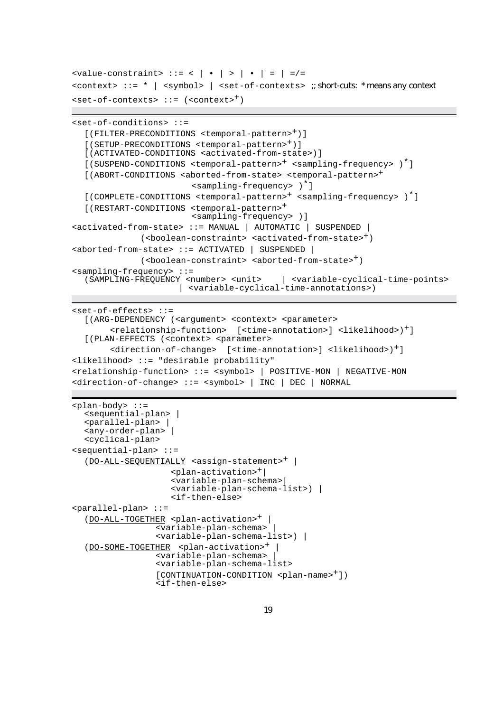```
\{value-constraint > : := \langle | \cdot | > | \cdot | = | = | = \mathcal{A}\}<context> ::= * | <symbol> | <set-of-contexts> ;; short-cuts: * means any context
\text{set-of-contexts} ::= (\text{context>}^+)
```

```
<set-of-conditions> ::=
```

```
[(FILTER-PRECONDITIONS <temporal-pattern>+)]
  [(SETUP-PRECONDITIONS <temporal-pattern>+)]
  [(ACTIVATED-CONDITIONS <activated-from-state>)]
  [(SUSPEND-CONDITIONS <temporal-pattern>+ <sampling-frequency> )*]
  [(ABORT-CONDITIONS <aborted-from-state> <temporal-pattern>+
                        <sampling-frequency> )*]
  [(COMPLETE-CONDITIONS <temporal-pattern>+ <sampling-frequency> )*]
  [(RESTART-CONDITIONS <temporal-pattern>+
                        <sampling-frequency> )]
<activated-from-state> ::= MANUAL | AUTOMATIC | SUSPENDED |
             (<boolean-constraint> <activated-from-state><sup>+</sup>)
<aborted-from-state> ::= ACTIVATED | SUSPENDED |
             (<boolean-constraint> <aborted-from-state>+)
<sampling-frequency> ::=
  (SAMPLING-FREQUENCY <number> <unit> | <variable-cyclical-time-points>
                     | <variable-cyclical-time-annotations>)
```

```
<set-of-effects> ::=
  [(ARG-DEPENDENCY (<argument> <context> <parameter>
       <relationship-function> [<time-annotation>] <likelihood>)+]
  [(PLAN-EFFECTS (<context> <parameter>
       <direction-of-change> [<time-annotation>] <likelihood>)+]
<likelihood> ::= "desirable probability"
<relationship-function> ::= <symbol> | POSITIVE-MON | NEGATIVE-MON
<direction-of-change> ::= <symbol> | INC | DEC | NORMAL
```

```
<plan-body> ::=
  <sequential-plan> |
  <parallel-plan> |
  <any-order-plan> |
  <cyclical-plan>
<sequential-plan> ::=
  (DO-ALL-SEQUENTIALLY <assign-statement>+ |
                    <plan-activation>+|
                    <variable-plan-schema>|
                    <variable-plan-schema-list>) |
                    <if-then-else>
<parallel-plan> ::=
  (DO-ALL-TOGETHER <plan-activation>+ |
                 <variable-plan-schema> |
                 <variable-plan-schema-list>) |
  (DO-SOME-TOGETHER <plan-activation>+ |
                 <variable-plan-schema> |
                 <variable-plan-schema-list>
                 [CONTINUATION-CONDITION <plan-name>+])
                 <if-then-else>
```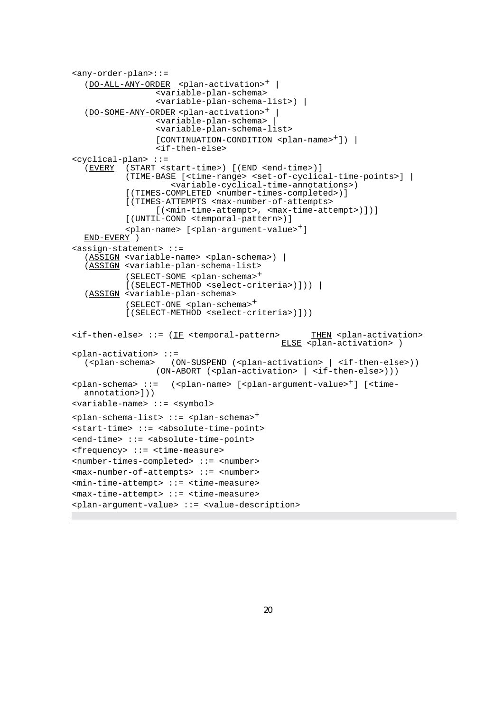```
<any-order-plan>::=
  (DO-ALL-ANY-ORDER <plan-activation><sup>+</sup>
                 <variable-plan-schema>
                 <variable-plan-schema-list>) |
  (DO-SOME-ANY-ORDER <plan-activation>+ |
                <variable-plan-schema> |
                <variable-plan-schema-list>
                 [CONTINUATION-CONDITION <plan-name>+]) |
                 <if-then-else>
<cyclical-plan> ::=
  (EVERY (START <start-time>) [(END <end-time>)]
          (TIME-BASE [<time-range> <set-of-cyclical-time-points>] |
                    <variable-cyclical-time-annotations>)
          [(TIMES-COMPLETED <number-times-completed>)]
          [(TIMES-ATTEMPTS <max-number-of-attempts>
                 [(<min-time-attempt>, <max-time-attempt>)])]
          [(UNTIL-COND <temporal-pattern>)]
          <plan-name> [<plan-argument-value>+]
  END-EVERY )
<assign-statement> ::=
  (ASSIGN <variable-name> <plan-schema>) |
  (ASSIGN <variable-plan-schema-list>
          (SELECT-SOME <plan-schema>+
          [(SELECT-METHOD <select-criteria>)])) |
  (ASSIGN <variable-plan-schema>
          (SELECT-ONE <plan-schema>+
          [(SELECT-METHOD <select-criteria>)]))
\texttt{diff-then-else} ::= (IF <temporal-pattern> THEN <plan-activation>
                                          ELSE <plan-activation> )
<plan-activation> ::=
  (<plan-schema> (ON-SUSPEND (<plan-activation> | <if-then-else>))
                (ON-ABORT (<plan-activation> | <if-then-else>)))
<plan-schema> ::= (<plan-name> [<plan-argument-value>+] [<time-
  annotation>]))
<variable-name> ::= <symbol>
<plan-schema-list> ::= <plan-schema>+
<start-time> ::= <absolute-time-point>
<end-time> ::= <absolute-time-point>
<frequency> ::= <time-measure>
<number-times-completed> ::= <number>
<max-number-of-attempts> ::= <number>
<min-time-attempt> ::= <time-measure>
<max-time-attempt> ::= <time-measure>
<plan-argument-value> ::= <value-description>
```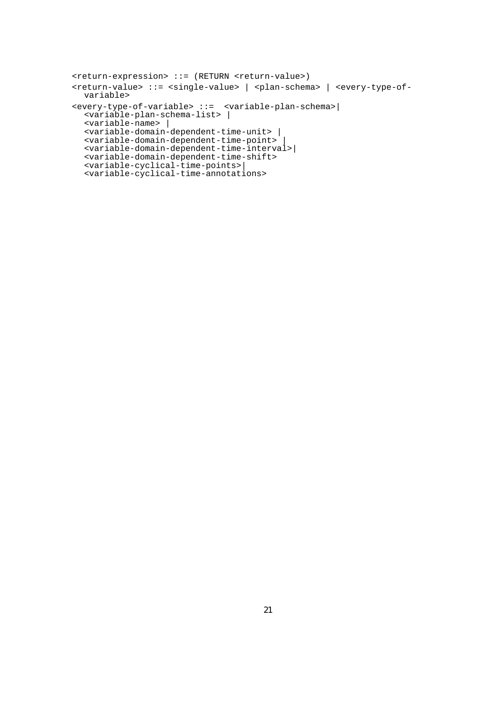```
<return-expression> ::= (RETURN <return-value>)
<return-value> ::= <single-value> | <plan-schema> | <every-type-of-
  variable>
<every-type-of-variable> ::= <variable-plan-schema>|
  <variable-plan-schema-list> |
  <variable-name> |
  <variable-domain-dependent-time-unit> |
  <variable-domain-dependent-time-point> |
  <variable-domain-dependent-time-interval>|
  <variable-domain-dependent-time-shift>
  <variable-cyclical-time-points>|
  <variable-cyclical-time-annotations>
```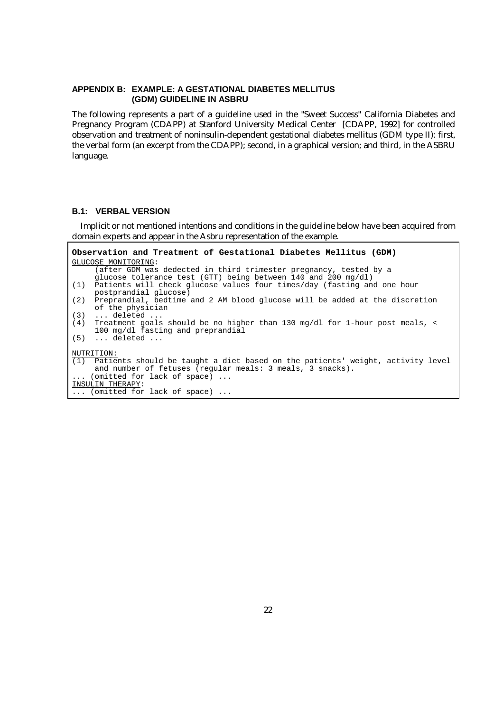#### **APPENDIX B: EXAMPLE: A GESTATIONAL DIABETES MELLITUS (GDM) GUIDELINE IN ASBRU**

The following represents a part of a guideline used in the "Sweet Success" California Diabetes and Pregnancy Program (CDAPP) at Stanford University Medical Center [CDAPP, 1992] for controlled observation and treatment of noninsulin-dependent gestational diabetes mellitus (GDM type II): first, the verbal form (an excerpt from the CDAPP); second, in a graphical version; and third, in the ASBRU language.

#### **B.1: VERBAL VERSION**

Implicit or not mentioned intentions and conditions in the guideline below have been acquired from domain experts and appear in the Asbru representation of the example.

```
Observation and Treatment of Gestational Diabetes Mellitus (GDM)
GLUCOSE MONITORING:
     (after GDM was dedected in third trimester pregnancy, tested by a
     glucose tolerance test (GTT) being between 140 and 200 mg/dl)
(1) Patients will check glucose values four times/day (fasting and one hour
     postprandial glucose)
(2) Preprandial, bedtime and 2 AM blood glucose will be added at the discretion
     of the physician
(3) ... deleted ...<br>(4) Treatment goals
(4) Treatment goals should be no higher than 130 mg/dl for 1-hour post meals, <
     100 mg/dl fasting and preprandial
(5) ... deleted ...
NUTRITION:
(1) Patients should be taught a diet based on the patients' weight, activity level
     and number of fetuses (regular meals: 3 meals, 3 snacks).
   ... (omitted for lack of space) ...
INSULIN THERAPY:
... (omitted for lack of space) ...
```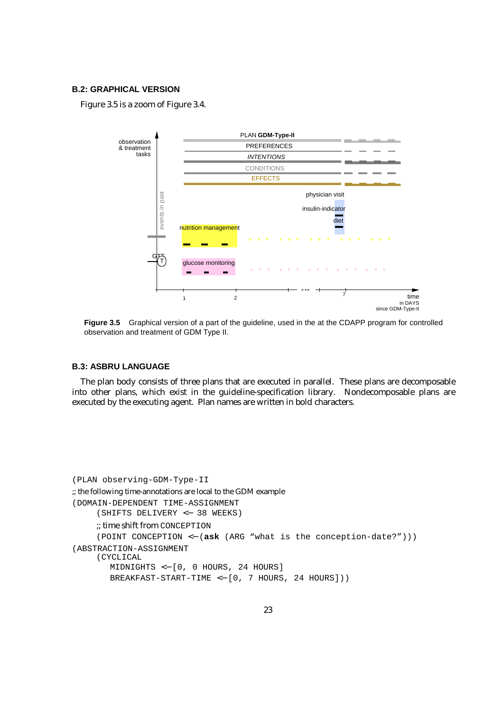## **B.2: GRAPHICAL VERSION**

Figure 3.5 is a zoom of Figure 3.4.



**Figure 3.5** Graphical version of a part of the guideline, used in the at the CDAPP program for controlled observation and treatment of GDM Type II.

## **B.3: ASBRU LANGUAGE**

The plan body consists of three plans that are executed in parallel. These plans are decomposable into other plans, which exist in the guideline-specification library. Nondecomposable plans are executed by the executing agent. Plan names are written in bold characters.

```
(PLAN observing-GDM-Type-II
;; the following time-annotations are local to the GDM example
(DOMAIN-DEPENDENT TIME-ASSIGNMENT
     (SHIFTS DELIVERY <− 38 WEEKS)
     ;; time shift from CONCEPTION
     (POINT CONCEPTION <− (ask (ARG "what is the conception-date?")))
(ABSTRACTION-ASSIGNMENT
     (CYCLICAL
        MIDNIGHTS <− [0, 0 HOURS, 24 HOURS]
        BREAKFAST-START-TIME <− [0, 7 HOURS, 24 HOURS]))
```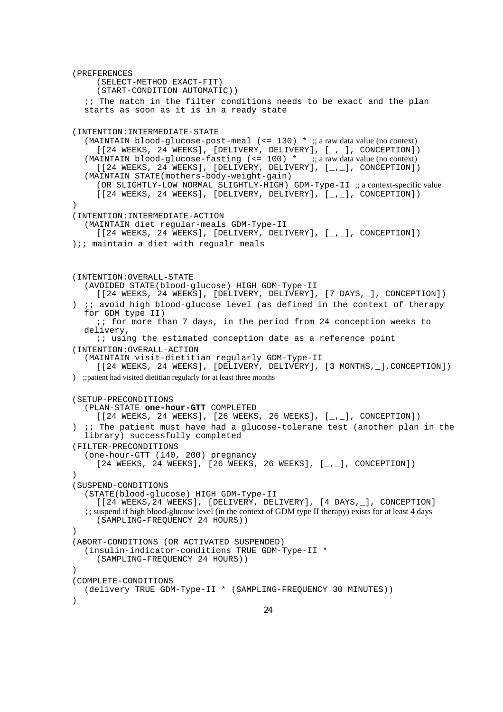(PREFERENCES (SELECT-METHOD EXACT-FIT) (START-CONDITION AUTOMATIC)) ;; The match in the filter conditions needs to be exact and the plan starts as soon as it is in a ready state (INTENTION:INTERMEDIATE-STATE (MAINTAIN blood-glucose-post-meal (<= 130) \* ;; a raw data value (no context)  $[$ [24 WEEKS, 24 WEEKS], [DELIVERY, DELIVERY],  $[\_$ .], CONCEPTION]) (MAINTAIN blood-glucose-fasting  $\leq 100$ ) \* ;; a raw data value (no context)  $[24 \text{ WEEKS}, 24 \text{ WEEKS}], [DELIVERY, DELIVERY], [ $_{-1}$ ], CONCEPTION])$ (MAINTAIN STATE(mothers-body-weight-gain) (OR SLIGHTLY-LOW NORMAL SLIGHTLY-HIGH) GDM-Type-II ;; a context-specific value [[24 WEEKS, 24 WEEKS], [DELIVERY, DELIVERY], [\_,\_], CONCEPTION]) ) (INTENTION:INTERMEDIATE-ACTION (MAINTAIN diet regular-meals GDM-Type-II [[24 WEEKS, 24 WEEKS], [DELIVERY, DELIVERY], [, ], CONCEPTION]) );; maintain a diet with regualr meals (INTENTION:OVERALL-STATE (AVOIDED STATE(blood-glucose) HIGH GDM-Type-II [[24 WEEKS, 24 WEEKS], [DELIVERY, DELIVERY], [7 DAYS, ], CONCEPTION]) ) ;; avoid high blood-glucose level (as defined in the context of therapy for GDM type II) ;; for more than 7 days, in the period from 24 conception weeks to delivery, ;; using the estimated conception date as a reference point (INTENTION:OVERALL-ACTION (MAINTAIN visit-dietitian regularly GDM-Type-II [[24 WEEKS, 24 WEEKS], [DELIVERY, DELIVERY], [3 MONTHS, \_], CONCEPTION]) ) ;;patient had visited dietitian regularly for at least three months (SETUP-PRECONDITIONS (PLAN-STATE **one-hour-GTT** COMPLETED  $[24 \text{ WEEKS}, 24 \text{ WEEKS}], [26 \text{ WEEKS}, 26 \text{ WEEKS}], [-1, 1, 20 \text{ NCEP}, 24 \text{ WEEKS}]$ ) ;; The patient must have had a glucose-tolerane test (another plan in the library) successfully completed (FILTER-PRECONDITIONS (one-hour-GTT (140, 200) pregnancy  $[24 \text{ WEEKS}, 24 \text{ WEEKS}], [26 \text{ WEEKS}, 26 \text{ WEEKS}], [7 \text{ WCEFTON}].$ ) (SUSPEND-CONDITIONS (STATE(blood-glucose) HIGH GDM-Type-II [[24 WEEKS, 24 WEEKS], [DELIVERY, DELIVERY], [4 DAYS, \_], CONCEPTION] ;; suspend if high blood-glucose level (in the context of GDM type II therapy) exists for at least 4 days (SAMPLING-FREQUENCY 24 HOURS)) ) (ABORT-CONDITIONS (OR ACTIVATED SUSPENDED) (insulin-indicator-conditions TRUE GDM-Type-II \* (SAMPLING-FREQUENCY 24 HOURS)) ) (COMPLETE-CONDITIONS (delivery TRUE GDM-Type-II \* (SAMPLING-FREQUENCY 30 MINUTES)) )